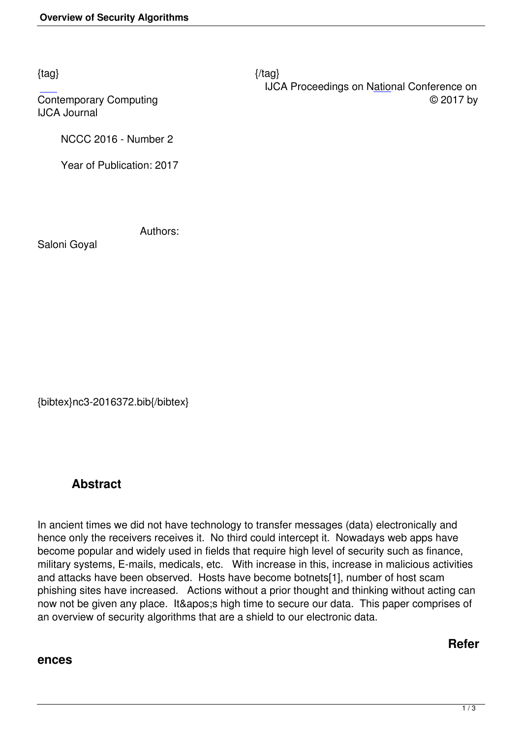$\{tag\}$ 

 IJCA Proceedings on National Conference on Contemporary Computing  $\heartsuit$  2017 by

IJCA Journal

NCCC 2016 - Number 2

Year of Publication: 2017

Authors:

Saloni Goyal

{bibtex}nc3-2016372.bib{/bibtex}

## **Abstract**

In ancient times we did not have technology to transfer messages (data) electronically and hence only the receivers receives it. No third could intercept it. Nowadays web apps have become popular and widely used in fields that require high level of security such as finance, military systems, E-mails, medicals, etc. With increase in this, increase in malicious activities and attacks have been observed. Hosts have become botnets[1], number of host scam phishing sites have increased. Actions without a prior thought and thinking without acting can now not be given any place. It's high time to secure our data. This paper comprises of an overview of security algorithms that are a shield to our electronic data.

## **ences**

**Refer**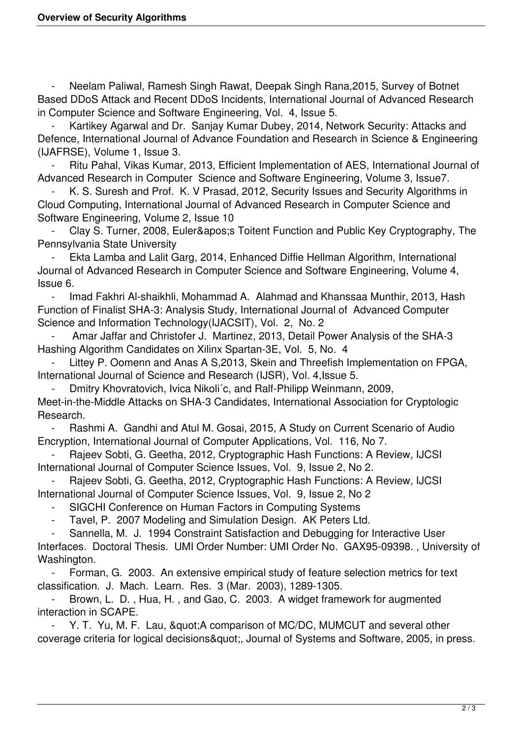Neelam Paliwal, Ramesh Singh Rawat, Deepak Singh Rana, 2015, Survey of Botnet Based DDoS Attack and Recent DDoS Incidents, International Journal of Advanced Research in Computer Science and Software Engineering, Vol. 4, Issue 5.

Kartikey Agarwal and Dr. Sanjay Kumar Dubey, 2014, Network Security: Attacks and Defence, International Journal of Advance Foundation and Research in Science & Engineering (IJAFRSE), Volume 1, Issue 3.

 - Ritu Pahal, Vikas Kumar, 2013, Efficient Implementation of AES, International Journal of Advanced Research in Computer Science and Software Engineering, Volume 3, Issue7.

K. S. Suresh and Prof. K. V Prasad, 2012, Security Issues and Security Algorithms in Cloud Computing, International Journal of Advanced Research in Computer Science and Software Engineering, Volume 2, Issue 10

Clay S. Turner, 2008, Euler' Toitent Function and Public Key Cryptography, The Pennsylvania State University

 - Ekta Lamba and Lalit Garg, 2014, Enhanced Diffie Hellman Algorithm, International Journal of Advanced Research in Computer Science and Software Engineering, Volume 4, Issue 6.

Imad Fakhri Al-shaikhli, Mohammad A. Alahmad and Khanssaa Munthir, 2013, Hash Function of Finalist SHA-3: Analysis Study, International Journal of Advanced Computer Science and Information Technology(IJACSIT), Vol. 2, No. 2

 - Amar Jaffar and Christofer J. Martinez, 2013, Detail Power Analysis of the SHA-3 Hashing Algorithm Candidates on Xilinx Spartan-3E, Vol. 5, No. 4

Littey P. Oomenn and Anas A S, 2013, Skein and Threefish Implementation on FPGA, International Journal of Science and Research (IJSR), Vol. 4,Issue 5.

 - Dmitry Khovratovich, Ivica Nikoli´c, and Ralf-Philipp Weinmann, 2009, Meet-in-the-Middle Attacks on SHA-3 Candidates, International Association for Cryptologic Research.

 - Rashmi A. Gandhi and Atul M. Gosai, 2015, A Study on Current Scenario of Audio Encryption, International Journal of Computer Applications, Vol. 116, No 7.

 - Rajeev Sobti, G. Geetha, 2012, Cryptographic Hash Functions: A Review, IJCSI International Journal of Computer Science Issues, Vol. 9, Issue 2, No 2.

Rajeev Sobti, G. Geetha, 2012, Cryptographic Hash Functions: A Review, IJCSI International Journal of Computer Science Issues, Vol. 9, Issue 2, No 2

- SIGCHI Conference on Human Factors in Computing Systems

Tavel, P. 2007 Modeling and Simulation Design. AK Peters Ltd.

 - Sannella, M. J. 1994 Constraint Satisfaction and Debugging for Interactive User Interfaces. Doctoral Thesis. UMI Order Number: UMI Order No. GAX95-09398. , University of Washington.

 - Forman, G. 2003. An extensive empirical study of feature selection metrics for text classification. J. Mach. Learn. Res. 3 (Mar. 2003), 1289-1305.

 - Brown, L. D. , Hua, H. , and Gao, C. 2003. A widget framework for augmented interaction in SCAPE.

Y. T. Yu, M. F. Lau, & quot; A comparison of MC/DC, MUMCUT and several other coverage criteria for logical decisions & auot:, Journal of Systems and Software, 2005, in press.